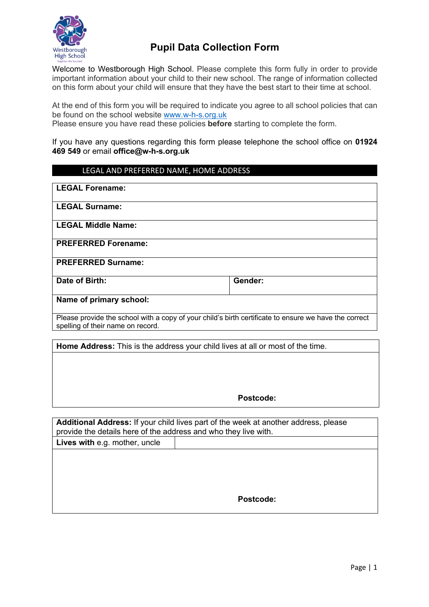

# **Pupil Data Collection Form**

Welcome to Westborough High School. Please complete this form fully in order to provide important information about your child to their new school. The range of information collected on this form about your child will ensure that they have the best start to their time at school.

At the end of this form you will be required to indicate you agree to all school policies that can be found on the school website www.w-h-s.org.uk

Please ensure you have read these policies **before** starting to complete the form.

If you have any questions regarding this form please telephone the school office on **01924 469 549** or email **office@w-h-s.org.uk**

### LEGAL AND PREFERRED NAME, HOME ADDRESS

| <b>LEGAL Forename:</b>                                                                                                                     |         |
|--------------------------------------------------------------------------------------------------------------------------------------------|---------|
| <b>LEGAL Surname:</b>                                                                                                                      |         |
| <b>LEGAL Middle Name:</b>                                                                                                                  |         |
| <b>PREFERRED Forename:</b>                                                                                                                 |         |
| <b>PREFERRED Surname:</b>                                                                                                                  |         |
| Date of Birth:                                                                                                                             | Gender: |
| Name of primary school:                                                                                                                    |         |
| Please provide the school with a copy of your child's birth certificate to ensure we have the correct<br>spelling of their name on record. |         |

**Home Address:** This is the address your child lives at all or most of the time.

**Postcode:**

**Additional Address:** If your child lives part of the week at another address, please provide the details here of the address and who they live with. **Lives with** e.g. mother, uncle

**Postcode:**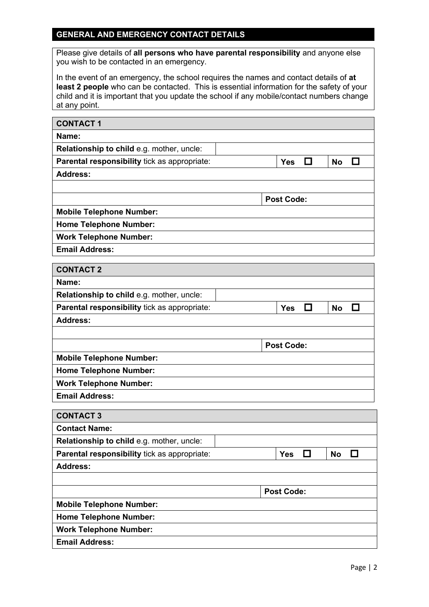## **GENERAL AND EMERGENCY CONTACT DETAILS**

Please give details of **all persons who have parental responsibility** and anyone else you wish to be contacted in an emergency.

In the event of an emergency, the school requires the names and contact details of **at least 2 people** who can be contacted. This is essential information for the safety of your child and it is important that you update the school if any mobile/contact numbers change at any point.

| <b>CONTACT1</b>                              |                                        |
|----------------------------------------------|----------------------------------------|
| Name:                                        |                                        |
| Relationship to child e.g. mother, uncle:    |                                        |
| Parental responsibility tick as appropriate: | □<br>$\Box$<br><b>No</b><br><b>Yes</b> |
| <b>Address:</b>                              |                                        |
|                                              |                                        |
|                                              | <b>Post Code:</b>                      |
| <b>Mobile Telephone Number:</b>              |                                        |
| <b>Home Telephone Number:</b>                |                                        |
| <b>Work Telephone Number:</b>                |                                        |
| <b>Email Address:</b>                        |                                        |
| <b>CONTACT 2</b>                             |                                        |
| Name:                                        |                                        |
| Relationship to child e.g. mother, uncle:    |                                        |
| Parental responsibility tick as appropriate: | □<br>$\Box$<br><b>No</b><br><b>Yes</b> |
| <b>Address:</b>                              |                                        |
|                                              |                                        |
|                                              | <b>Post Code:</b>                      |
| <b>Mobile Telephone Number:</b>              |                                        |
| <b>Home Telephone Number:</b>                |                                        |
| <b>Work Telephone Number:</b>                |                                        |
| <b>Email Address:</b>                        |                                        |
| <b>CONTACT 3</b>                             |                                        |
| <b>Contact Name:</b>                         |                                        |
| Relationship to child e.g. mother, uncle:    |                                        |
| Parental responsibility tick as appropriate: | <b>Yes</b><br>H<br><b>No</b><br>U      |
| <b>Address:</b>                              |                                        |
|                                              |                                        |
|                                              | <b>Post Code:</b>                      |
| <b>Mobile Telephone Number:</b>              |                                        |
| <b>Home Telephone Number:</b>                |                                        |
| <b>Work Telephone Number:</b>                |                                        |
| <b>Email Address:</b>                        |                                        |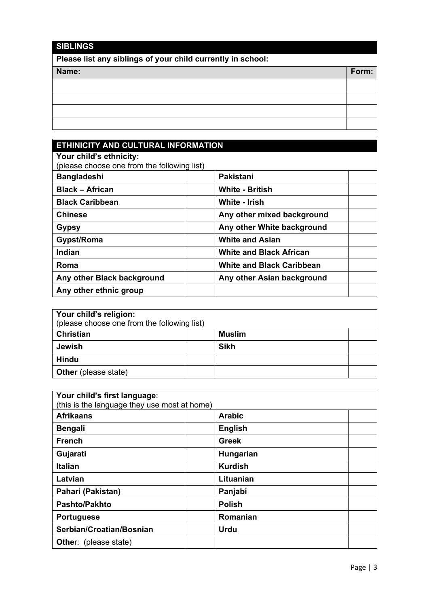# **SIBLINGS Please list any siblings of your child currently in school: Name: Form:**

## **ETHINICITY AND CULTURAL INFORMATION Your child's ethnicity:** (please choose one from the following list) **Bangladeshi Pakistani Black – African White - British Black Caribbean White - Irish Chinese Any other mixed background Gypsy Any other White background** Gypst/Roma **White and Asian Indian White and Black African Roma Roma Roma Roma Roma Roma Roma Roma Roma Roma Roma Roma Roma Roma Roma Roma Roma Roma Roma Roma Roma Roma Roma Roma Roma Roma Roma Roma Roma Roma Roma Roma** Any other Black background **Any other Asian background Any other ethnic group**

| Your child's religion:<br>(please choose one from the following list) |  |               |  |
|-----------------------------------------------------------------------|--|---------------|--|
| <b>Christian</b>                                                      |  | <b>Muslim</b> |  |
| <b>Jewish</b>                                                         |  | <b>Sikh</b>   |  |
| Hindu                                                                 |  |               |  |
| <b>Other</b> (please state)                                           |  |               |  |

| Your child's first language:<br>(this is the language they use most at home) |                |  |
|------------------------------------------------------------------------------|----------------|--|
| <b>Afrikaans</b>                                                             | <b>Arabic</b>  |  |
| <b>Bengali</b>                                                               | <b>English</b> |  |
| <b>French</b>                                                                | <b>Greek</b>   |  |
| Gujarati                                                                     | Hungarian      |  |
| <b>Italian</b>                                                               | <b>Kurdish</b> |  |
| Latvian                                                                      | Lituanian      |  |
| Pahari (Pakistan)                                                            | Panjabi        |  |
| <b>Pashto/Pakhto</b>                                                         | <b>Polish</b>  |  |
| <b>Portuguese</b>                                                            | Romanian       |  |
| Serbian/Croatian/Bosnian                                                     | <b>Urdu</b>    |  |
| <b>Other:</b> (please state)                                                 |                |  |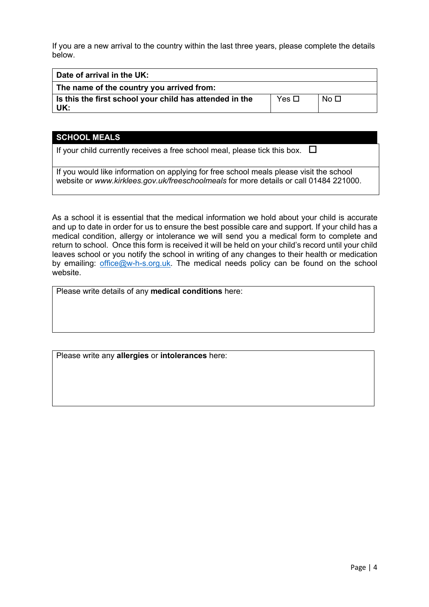If you are a new arrival to the country within the last three years, please complete the details below.

| Date of arrival in the UK:                              |            |                 |
|---------------------------------------------------------|------------|-----------------|
| The name of the country you arrived from:               |            |                 |
| Is this the first school your child has attended in the | Yes $\Box$ | No <sub>1</sub> |
| UK:                                                     |            |                 |

### **SCHOOL MEALS**

If your child currently receives a free school meal, please tick this box.  $\Box$ 

If you would like information on applying for free school meals please visit the school website or *www.kirklees.gov.uk/freeschoolmeals* for more details or call 01484 221000.

As a school it is essential that the medical information we hold about your child is accurate and up to date in order for us to ensure the best possible care and support. If your child has a medical condition, allergy or intolerance we will send you a medical form to complete and return to school. Once this form is received it will be held on your child's record until your child leaves school or you notify the school in writing of any changes to their health or medication by emailing: office@w-h-s.org.uk. The medical needs policy can be found on the school website.

Please write details of any **medical conditions** here:

Please write any **allergies** or **intolerances** here: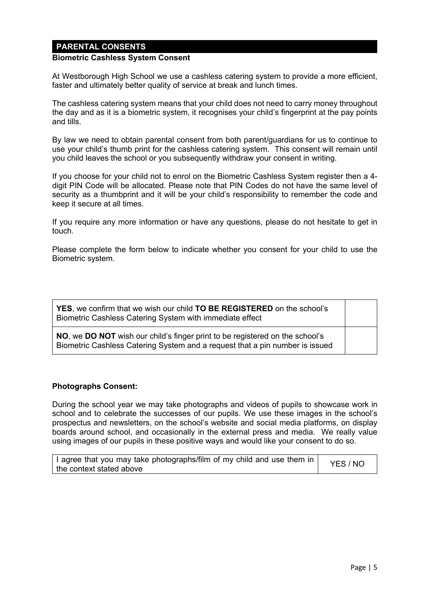## **PARENTAL CONSENTS**

#### **Biometric Cashless System Consent**

At Westborough High School we use a cashless catering system to provide a more efficient, faster and ultimately better quality of service at break and lunch times.

The cashless catering system means that your child does not need to carry money throughout the day and as it is a biometric system, it recognises your child's fingerprint at the pay points and tills.

By law we need to obtain parental consent from both parent/guardians for us to continue to use your child's thumb print for the cashless catering system. This consent will remain until you child leaves the school or you subsequently withdraw your consent in writing.

If you choose for your child not to enrol on the Biometric Cashless System register then a 4 digit PIN Code will be allocated. Please note that PIN Codes do not have the same level of security as a thumbprint and it will be your child's responsibility to remember the code and keep it secure at all times.

If you require any more information or have any questions, please do not hesitate to get in touch.

Please complete the form below to indicate whether you consent for your child to use the Biometric system.

| YES, we confirm that we wish our child TO BE REGISTERED on the school's<br>Biometric Cashless Catering System with immediate effect                          |  |
|--------------------------------------------------------------------------------------------------------------------------------------------------------------|--|
| NO, we DO NOT wish our child's finger print to be registered on the school's<br>Biometric Cashless Catering System and a request that a pin number is issued |  |

#### **Photographs Consent:**

During the school year we may take photographs and videos of pupils to showcase work in school and to celebrate the successes of our pupils. We use these images in the school's prospectus and newsletters, on the school's website and social media platforms, on display boards around school, and occasionally in the external press and media. We really value using images of our pupils in these positive ways and would like your consent to do so.

| I agree that you may take photographs/film of my child and use them in | YES / NO |
|------------------------------------------------------------------------|----------|
| the context stated above                                               |          |